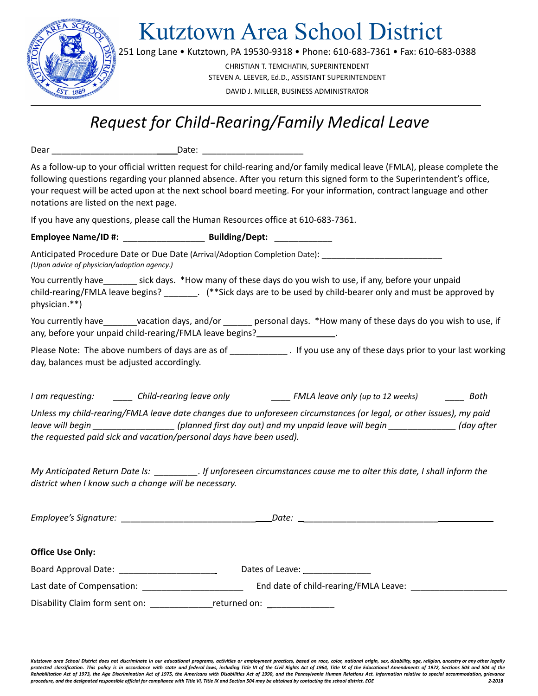

Kutztown Area School District

251 Long Lane • Kutztown, PA 19530-9318 • Phone: 610-683-7361 • Fax: 610-683-0388

CHRISTIAN T. TEMCHATIN, SUPERINTENDENT STEVEN A. LEEVER, Ed.D., ASSISTANT SUPERINTENDENT DAVID J. MILLER, BUSINESS ADMINISTRATOR

# *Request for Child-Rearing/Family Medical Leave*

Dear \_\_\_\_\_\_\_\_\_\_\_\_\_\_\_\_\_\_\_\_\_\_ Date: \_\_\_\_\_\_\_\_\_\_\_\_\_\_\_\_\_\_\_\_\_

As a follow-up to your official written request for child-rearing and/or family medical leave (FMLA), please complete the following questions regarding your planned absence. After you return this signed form to the Superintendent's office, your request will be acted upon at the next school board meeting. For your information, contract language and other notations are listed on the next page.

If you have any questions, please call the Human Resources office at 610-683-7361.

**Employee Name/ID #:** \_\_\_\_\_\_\_\_\_\_\_\_\_\_\_\_\_ **Building/Dept:** \_\_\_\_\_\_\_\_\_\_\_\_

Anticipated Procedure Date or Due Date (Arrival/Adoption Completion Date): *(Upon advice of physician/adoption agency.)*

You currently have\_\_\_\_\_\_\_ sick days. \*How many of these days do you wish to use, if any, before your unpaid child-rearing/FMLA leave begins? \_\_\_\_\_\_\_. (\*\*Sick days are to be used by child-bearer only and must be approved by physician.\*\*)

You currently have vacation days, and/or \_\_\_\_\_\_ personal days. \*How many of these days do you wish to use, if any, before your unpaid child-rearing/FMLA leave begins?

Please Note: The above numbers of days are as of \_\_\_\_\_\_\_\_\_\_\_\_\_\_. If you use any of these days prior to your last working day, balances must be adjusted accordingly.

*I am requesting: \_\_\_\_ Child-rearing leave only \_\_\_\_ FMLA leave only (up to 12 weeks) \_\_\_\_ Both*

Unless my child-rearing/FMLA leave date changes due to unforeseen circumstances (or legal, or other issues), my paid leave will begin (day after (planned first day out) and my unpaid leave will begin (day after *the requested paid sick and vacation/personal days have been used).*

My Anticipated Return Date Is: \_\_\_\_\_\_\_\_\_\_\_. If unforeseen circumstances cause me to alter this date, I shall inform the *district when I know such a change will be necessary.*

*Employee's Signature:* \_\_\_\_\_\_\_\_\_\_\_\_\_\_\_\_\_\_\_\_\_\_\_\_\_\_\_\_ *Date:* \_\_\_\_\_\_\_\_\_\_\_\_\_\_\_\_\_\_\_\_\_\_\_\_\_\_\_\_

| <b>Office Use Only:</b>    |                                       |
|----------------------------|---------------------------------------|
| Board Approval Date:       | Dates of Leave:                       |
| Last date of Compensation: | End date of child-rearing/FMLA Leave: |

Disability Claim form sent on: \_\_\_\_\_\_\_\_\_\_\_\_\_\_\_\_\_\_\_returned on: \_\_\_\_\_\_\_\_\_\_\_\_\_\_\_\_\_